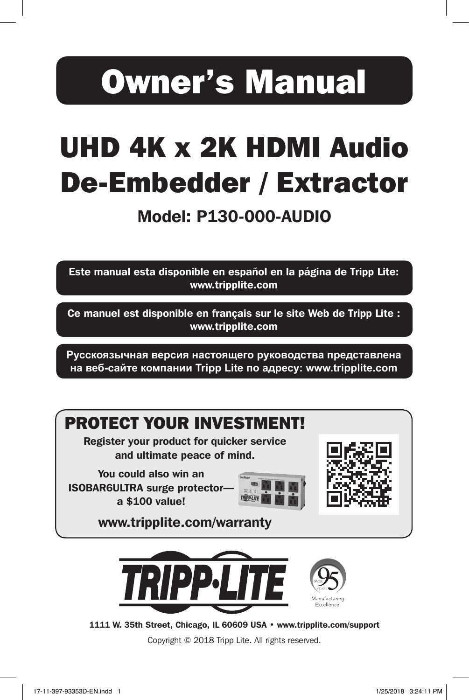# Owner's Manual

## UHD 4K x 2K HDMI Audio De-Embedder / Extractor

### Model: P130-000-AUDIO

Este manual esta disponible en español en la página de Tripp Lite: www.tripplite.com

Ce manuel est disponible en français sur le site Web de Tripp Lite : www.tripplite.com

**Русскоязычная версия настоящего руководства представлена на веб-сайте компании Tripp Lite по адресу: www.tripplite.com**



1111 W. 35th Street, Chicago, IL 60609 USA • www.tripplite.com/support

Copyright © 2018 Tripp Lite. All rights reserved.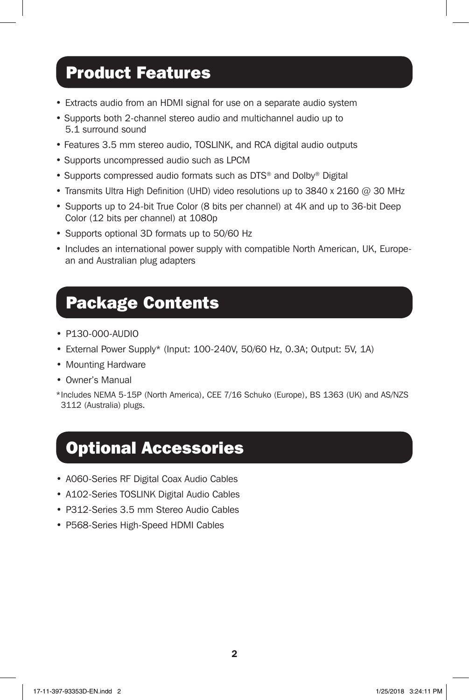### Product Features

- Extracts audio from an HDMI signal for use on a separate audio system
- Supports both 2-channel stereo audio and multichannel audio up to 5.1 surround sound
- Features 3.5 mm stereo audio, TOSLINK, and RCA digital audio outputs
- Supports uncompressed audio such as LPCM
- Supports compressed audio formats such as DTS<sup>®</sup> and Dolby<sup>®</sup> Digital
- Transmits Ultra High Definition (UHD) video resolutions up to 3840 x 2160  $@$  30 MHz
- Supports up to 24-bit True Color (8 bits per channel) at 4K and up to 36-bit Deep Color (12 bits per channel) at 1080p
- Supports optional 3D formats up to 50/60 Hz
- Includes an international power supply with compatible North American, UK, European and Australian plug adapters

### Package Contents

- P130-000-AUDIO
- External Power Supply\* (Input: 100-240V, 50/60 Hz, 0.3A; Output: 5V, 1A)
- Mounting Hardware
- Owner's Manual

\*Includes NEMA 5-15P (North America), CEE 7/16 Schuko (Europe), BS 1363 (UK) and AS/NZS 3112 (Australia) plugs.

#### Optional Accessories

- A060-Series RF Digital Coax Audio Cables
- A102-Series TOSLINK Digital Audio Cables
- P312-Series 3.5 mm Stereo Audio Cables
- P568-Series High-Speed HDMI Cables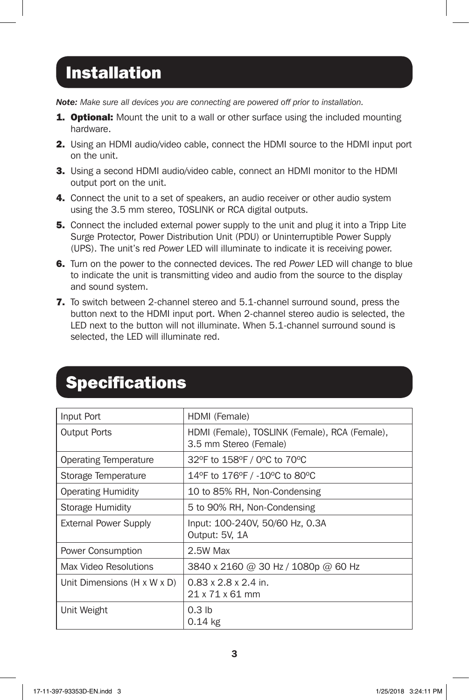## Installation

*Note: Make sure all devices you are connecting are powered off prior to installation.*

- 1. Optional: Mount the unit to a wall or other surface using the included mounting hardware.
- 2. Using an HDMI audio/video cable, connect the HDMI source to the HDMI input port on the unit.
- 3. Using a second HDMI audio/video cable, connect an HDMI monitor to the HDMI output port on the unit.
- **4.** Connect the unit to a set of speakers, an audio receiver or other audio system using the 3.5 mm stereo, TOSLINK or RCA digital outputs.
- **5.** Connect the included external power supply to the unit and plug it into a Tripp Lite Surge Protector, Power Distribution Unit (PDU) or Uninterruptible Power Supply (UPS). The unit's red *Power* LED will illuminate to indicate it is receiving power.
- 6. Turn on the power to the connected devices. The red *Power* LED will change to blue to indicate the unit is transmitting video and audio from the source to the display and sound system.
- 7. To switch between 2-channel stereo and 5.1-channel surround sound, press the button next to the HDMI input port. When 2-channel stereo audio is selected, the LED next to the button will not illuminate. When 5.1-channel surround sound is selected, the LED will illuminate red.

| Input Port                              | HDMI (Female)                                                            |
|-----------------------------------------|--------------------------------------------------------------------------|
| <b>Output Ports</b>                     | HDMI (Female), TOSLINK (Female), RCA (Female),<br>3.5 mm Stereo (Female) |
| Operating Temperature                   | 32°F to 158°F / 0°C to 70°C                                              |
| Storage Temperature                     | 14°F to 176°F / -10°C to 80°C                                            |
| <b>Operating Humidity</b>               | 10 to 85% RH, Non-Condensing                                             |
| Storage Humidity                        | 5 to 90% RH, Non-Condensing                                              |
| <b>External Power Supply</b>            | Input: 100-240V, 50/60 Hz, 0.3A<br>Output: 5V, 1A                        |
| Power Consumption                       | 2.5W Max                                                                 |
| Max Video Resolutions                   | 3840 x 2160 @ 30 Hz / 1080p @ 60 Hz                                      |
| Unit Dimensions $(H \times W \times D)$ | $0.83 \times 2.8 \times 2.4$ in.<br>21 x 71 x 61 mm                      |
| Unit Weight                             | 0.3 <sub>lb</sub><br>$0.14$ kg                                           |

### **Specifications**